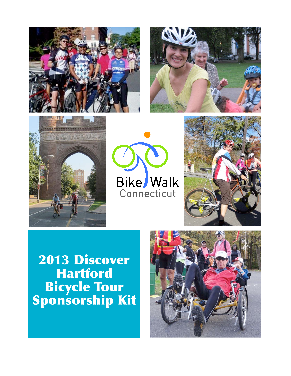









2013 Discover Hartford Bicycle Tour Sponsorship Kit

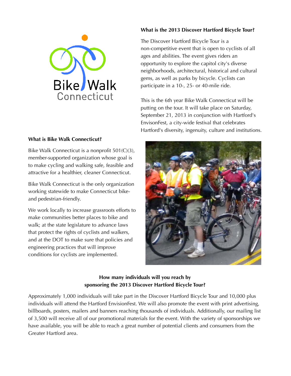

#### **What is Bike Walk Connecticut?**

Bike Walk Connecticut is a nonprofit 501(C)(3), member-supported organization whose goal is to make cycling and walking safe, feasible and attractive for a healthier, cleaner Connecticut.

Bike Walk Connecticut is the only organization working statewide to make Connecticut bikeand pedestrian-friendly.

We work locally to increase grassroots efforts to make communities better places to bike and walk; at the state legislature to advance laws that protect the rights of cyclists and walkers, and at the DOT to make sure that policies and engineering practices that will improve conditions for cyclists are implemented.

#### **What is the 2013 Discover Hartford Bicycle Tour?**

The Discover Hartford Bicycle Tour is a non-competitive event that is open to cyclists of all ages and abilities. The event gives riders an opportunity to explore the capitol city's diverse neighborhoods, architectural, historical and cultural gems, as well as parks by bicycle. Cyclists can participate in a 10-, 25- or 40-mile ride.

This is the 6th year Bike Walk Connecticut will be putting on the tour. It will take place on Saturday, September 21, 2013 in conjunction with Hartford's EnvisonFest, a city-wide festival that celebrates Hartford's diversity, ingenuity, culture and institutions.



### **How many individuals will you reach by sponsoring the 2013 Discover Hartford Bicycle Tour?**

Approximately 1,000 individuals will take part in the Discover Hartford Bicycle Tour and 10,000 plus individuals will attend the Hartford EnvisionFest. We will also promote the event with print advertising, billboards, posters, mailers and banners reaching thousands of individuals. Additionally, our mailing list of 3,500 will receive all of our promotional materials for the event. With the variety of sponsorships we have available, you will be able to reach a great number of potential clients and consumers from the Greater Hartford area.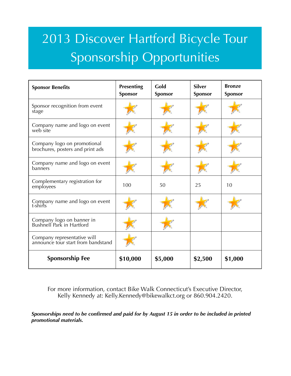## 2013 Discover Hartford Bicycle Tour Sponsorship Opportunities

| <b>Sponsor Benefits</b>                                           | <b>Presenting</b><br><b>Sponsor</b> | Gold<br><b>Sponsor</b> | <b>Silver</b><br>Sponsor | <b>Bronze</b><br>Sponsor |
|-------------------------------------------------------------------|-------------------------------------|------------------------|--------------------------|--------------------------|
| Sponsor recognition from event<br>stage                           |                                     |                        |                          |                          |
| Company name and logo on event<br>web site                        |                                     |                        |                          |                          |
| Company logo on promotional<br>brochures, posters and print ads   |                                     |                        |                          |                          |
| Company name and logo on event<br>banners                         |                                     |                        |                          |                          |
| Complementary registration for<br>employees                       | 100                                 | 50                     | 25                       | 10                       |
| Company name and logo on event<br>t-shirts                        |                                     |                        |                          |                          |
| Company logo on banner in<br>Bushnell Park in Hartford            |                                     |                        |                          |                          |
| Company representative will<br>announce tour start from bandstand |                                     |                        |                          |                          |
| <b>Sponsorship Fee</b>                                            | \$10,000                            | \$5,000                | \$2,500                  | \$1,000                  |

For more information, contact Bike Walk Connecticut's Executive Director, Kelly Kennedy at: Kelly.Kennedy@bikewalkct.org or 860.904.2420.

*Sponsorships need to be confirmed and paid for by August 15 in order to be included in printed promotional materials.*